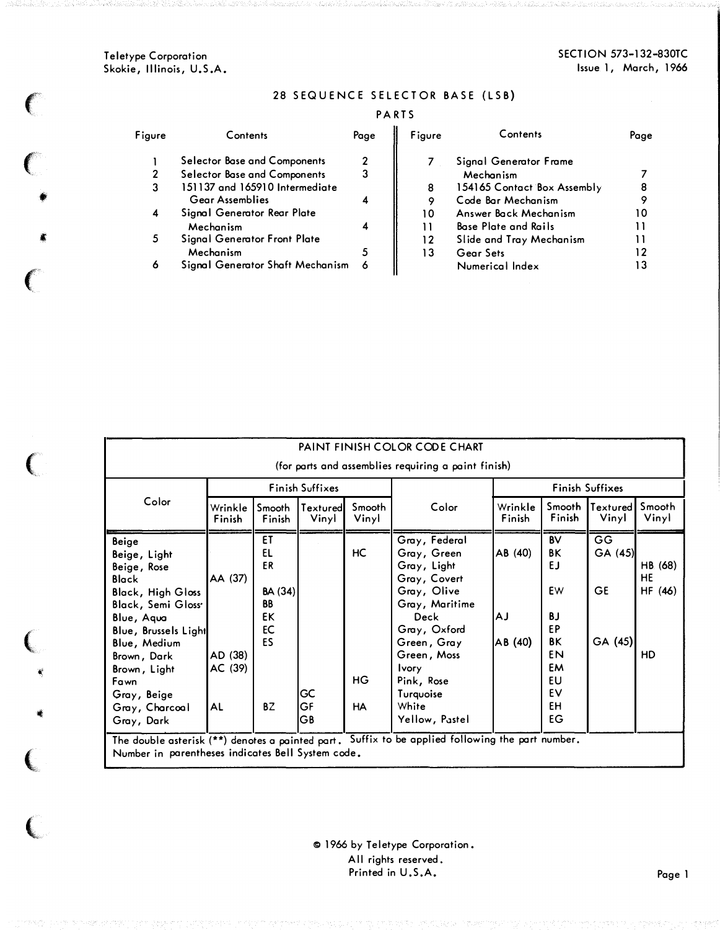Teletype Corporation Skokie, Illinois, U.S.A.

 $\left($ 

'

 $\big($ 

 $\left($ 

(

"

 $\big($ 

..\_\_

 $\overline{\mathbf{C}}$ 

 $\mathfrak{g}^*$ 

•

### 28 SEQUENCE SELECTOR BASE (LSB)

### PARTS

| Figure | Contents                         | Page | Figure | Contents                    | Page |
|--------|----------------------------------|------|--------|-----------------------------|------|
|        | Selector Base and Components     | 2    |        | Signal Generator Frame      |      |
| 2      | Selector Base and Components     | 3    |        | Mechanism                   |      |
| 3      | 151137 and 165910 Intermediate   |      | 8      | 154165 Contact Box Assembly |      |
|        | <b>Gear Assemblies</b>           |      | 9      | Code Bar Mechanism          |      |
| 4      | Signal Generator Rear Plate      |      | 10     | Answer Back Mechanism       |      |
|        | Mechanism                        |      |        | <b>Base Plate and Rails</b> |      |
| 5.     | Signal Generator Front Plate     |      | 12     | Slide and Tray Mechanism    |      |
|        | Mechanism                        |      | 13     | Gear Sets                   |      |
| 6      | Signal Generator Shaft Mechanism |      |        | Numerical Index             |      |

| PAINT FINISH COLOR CODE CHART                                                                                                                                                                                                                            |                                     |                                                               |                   |                              |                                                                                                                                                                                                                          |                          |                                                                                          |                                       |                                |
|----------------------------------------------------------------------------------------------------------------------------------------------------------------------------------------------------------------------------------------------------------|-------------------------------------|---------------------------------------------------------------|-------------------|------------------------------|--------------------------------------------------------------------------------------------------------------------------------------------------------------------------------------------------------------------------|--------------------------|------------------------------------------------------------------------------------------|---------------------------------------|--------------------------------|
| (for parts and assemblies requiring a paint finish)                                                                                                                                                                                                      |                                     |                                                               |                   |                              |                                                                                                                                                                                                                          |                          |                                                                                          |                                       |                                |
|                                                                                                                                                                                                                                                          |                                     | Finish Suffixes                                               |                   |                              | <b>Finish Suffixes</b>                                                                                                                                                                                                   |                          |                                                                                          |                                       |                                |
| Color                                                                                                                                                                                                                                                    | Wrinkle<br>Finish                   | Smooth<br>Finish                                              | Textured<br>Vinyl | Smooth<br>Vinyl              | Color                                                                                                                                                                                                                    | Wrinkle<br>Finish        | Smooth<br>Finish                                                                         | Textured<br>Vinyl                     | Smooth<br>Vinyl                |
| Beige<br>Beige, Light<br>Beige, Rose<br><b>Black</b><br><b>Black, High Gloss</b><br><b>Black, Semi Gloss</b><br>Blue, Aqua<br>Blue, Brussels Light<br>Blue, Medium<br>Brown, Dark<br>Brown, Light<br>Fawn<br>Gray, Beige<br>Gray, Charcoal<br>Gray, Dark | AA (37)<br>AD (38)<br>AC (39)<br>AL | ET<br>EL<br>ER<br>BA(34)<br><b>BB</b><br>EK<br>EC<br>ES<br>BZ | GC<br>GF<br>GB    | HC<br><b>HG</b><br><b>HA</b> | Gray, Federal<br>Gray, Green<br>Gray, Light<br>Gray, Covert<br>Gray, Olive<br>Gray, Maritime<br>Deck<br>Gray, Oxford<br>Green, Gray<br>Green, Moss<br><b>Ivory</b><br>Pink, Rose<br>Turquoise<br>White<br>Yellow, Pastel | AB (40)<br>ΑJ<br>AB (40) | <b>BV</b><br>ΒK<br>EJ<br>EW<br><b>BJ</b><br>EP<br>BK<br>EN<br>EM<br>EU<br>EV<br>EH<br>EG | GG<br>GA (45)<br><b>GE</b><br>GA (45) | HB (68)<br>HE<br>HF (46)<br>HD |
| The double asterisk (**) denotes a painted part. Suffix to be applied following the part number.                                                                                                                                                         |                                     |                                                               |                   |                              |                                                                                                                                                                                                                          |                          |                                                                                          |                                       |                                |

Number in parentheses indicates Bell System code.

<sup>®</sup> 1966 by Teletype Corporation. All rights reserved. Printed in U.S.A.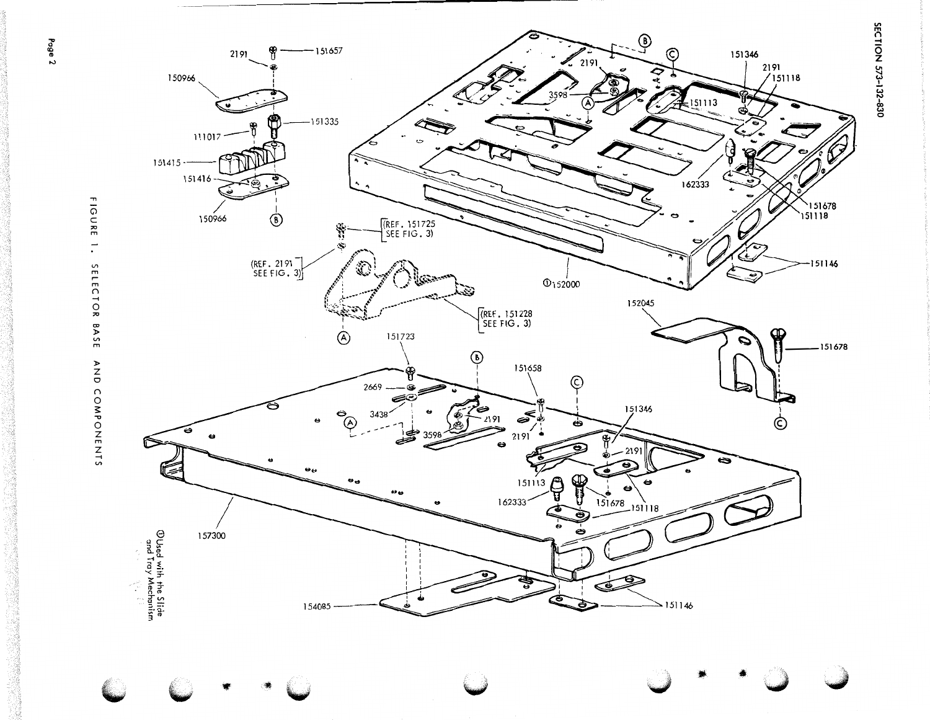SECTION 573-132-830

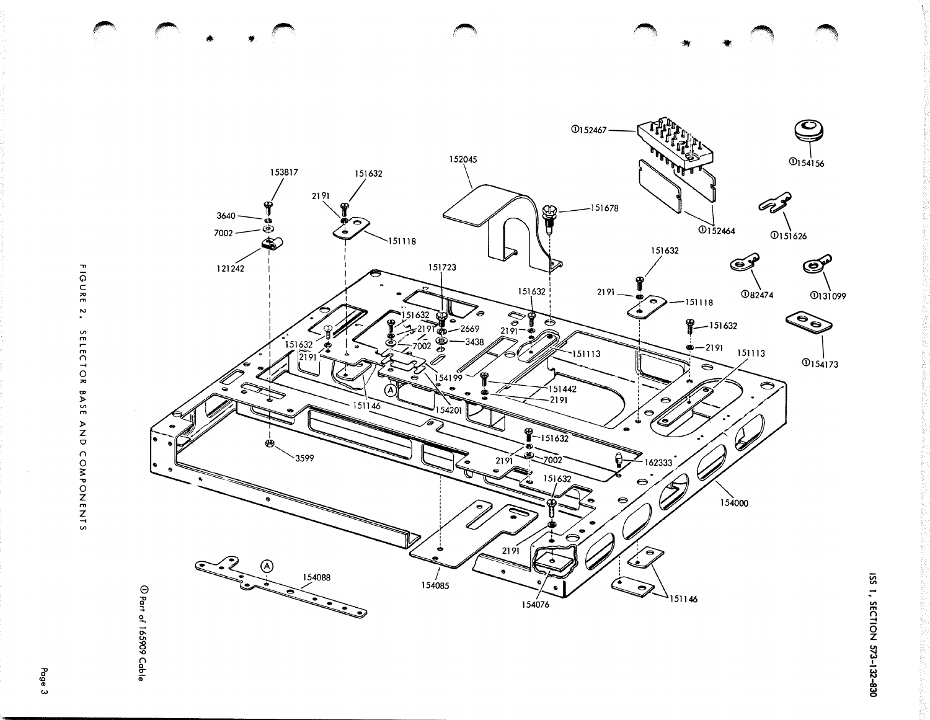

FIGURE 2. SELECTOR BASE AND COMPONENTS

Page 3

ISS 1, SECTION 573-132-830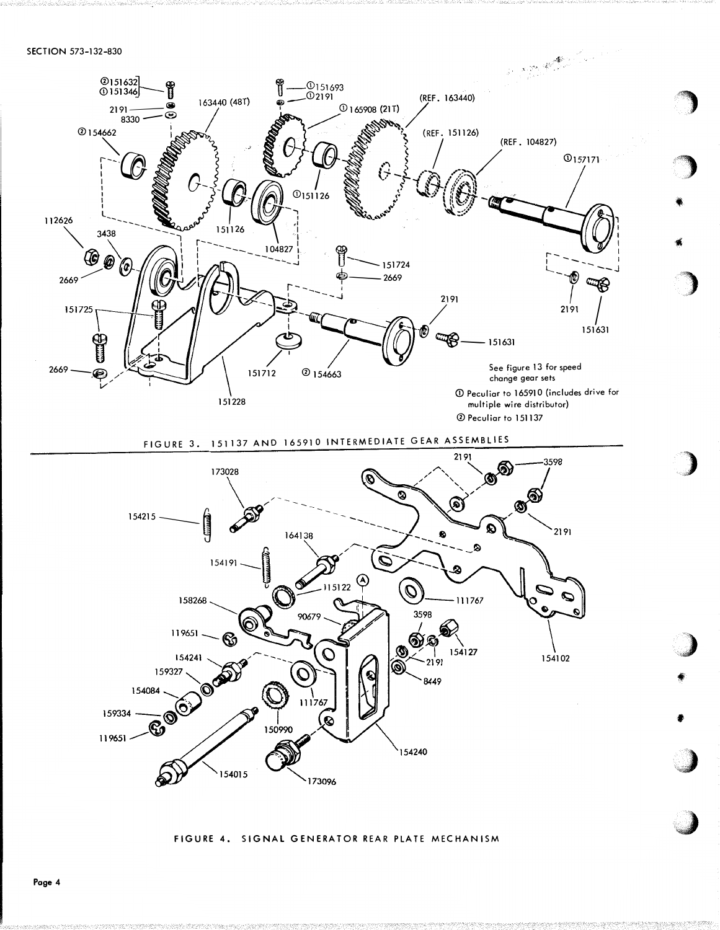



FIGURE 4. SIGNAL GENERATOR REAR PLATE MECHANISM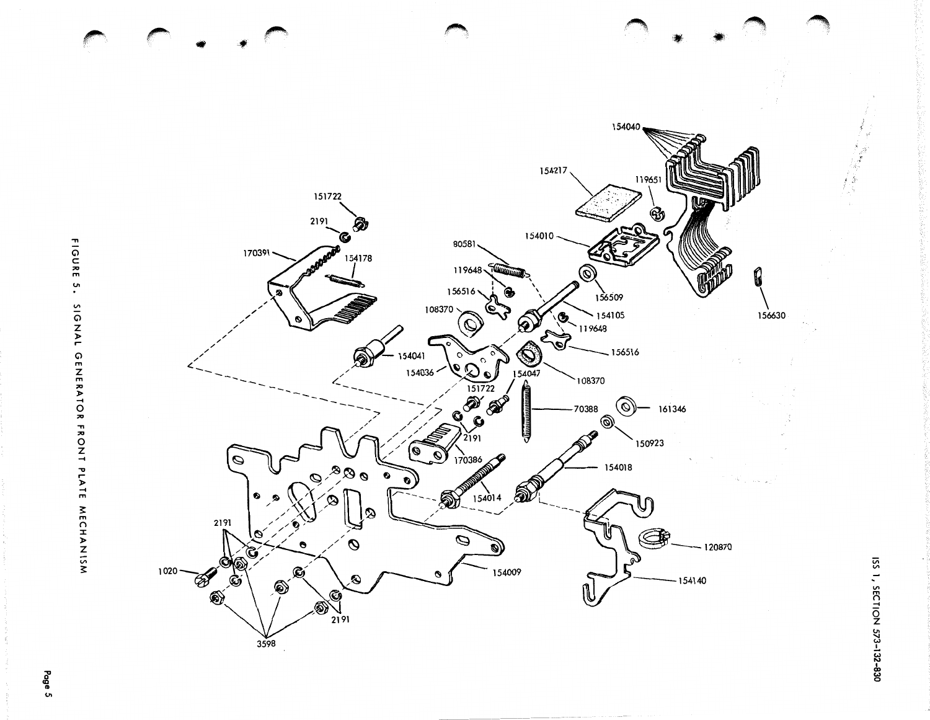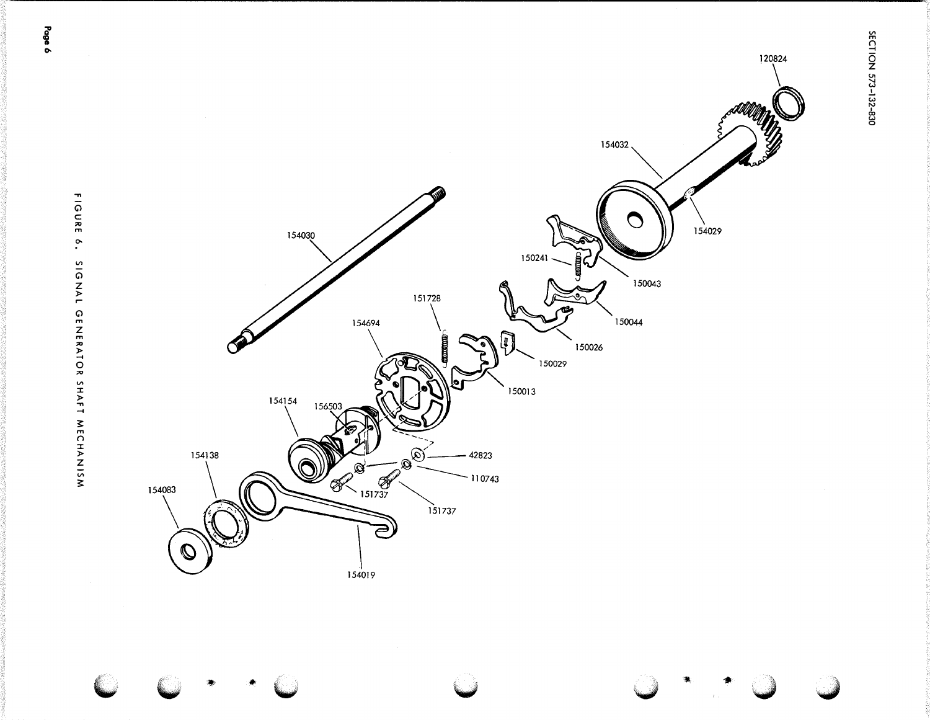

Page ó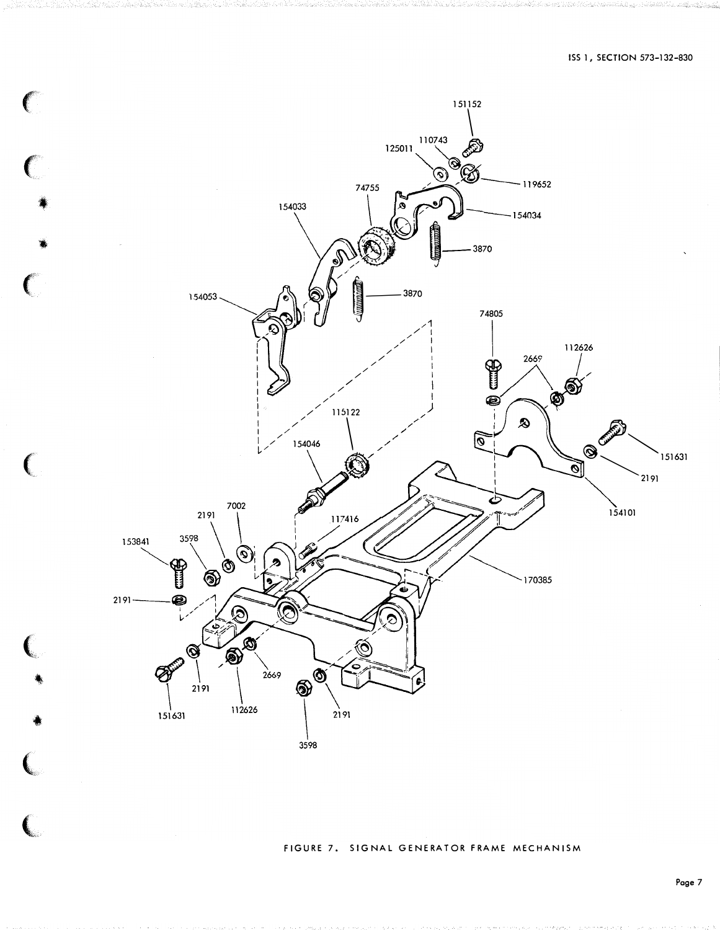

FIGURE 7. SIGNAL GENERATOR FRAME MECHANISM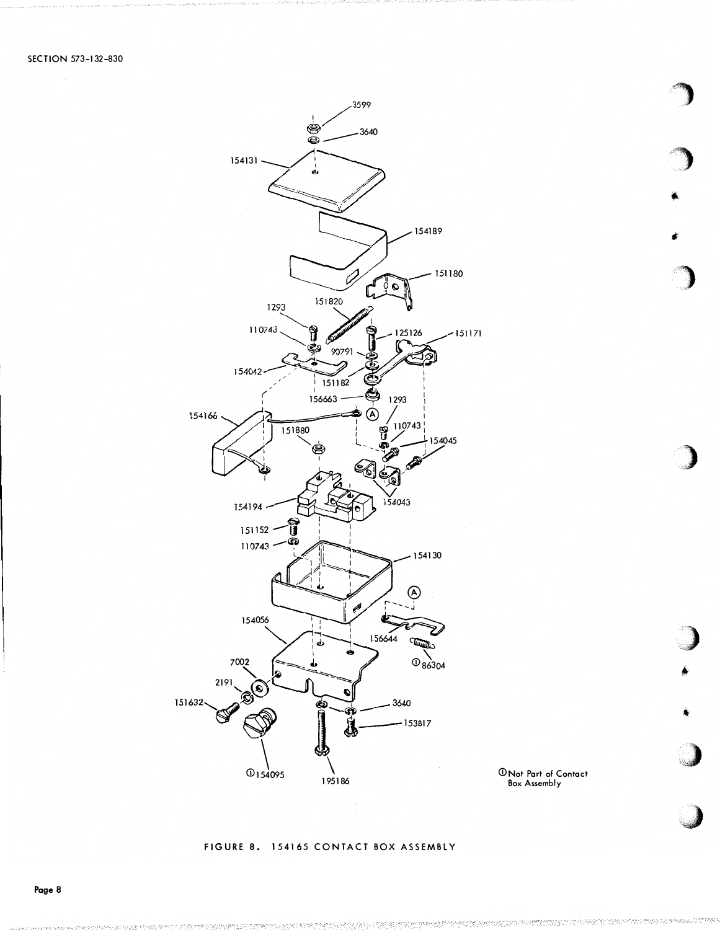



### FIGURE 8. 154165 CONTACT BOX ASSEMBLY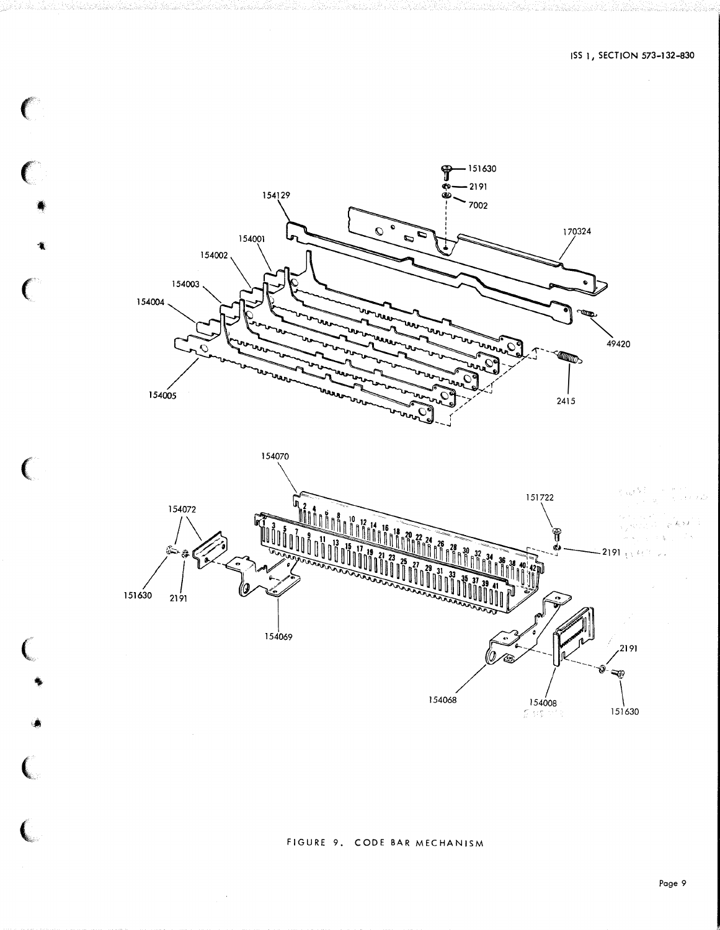

154070

 $\bar{\mathbf{r}}$ 

C

 $\big($ 

 $\overline{C}$ 



# FIGURE 9. CODE BAR MECHANISM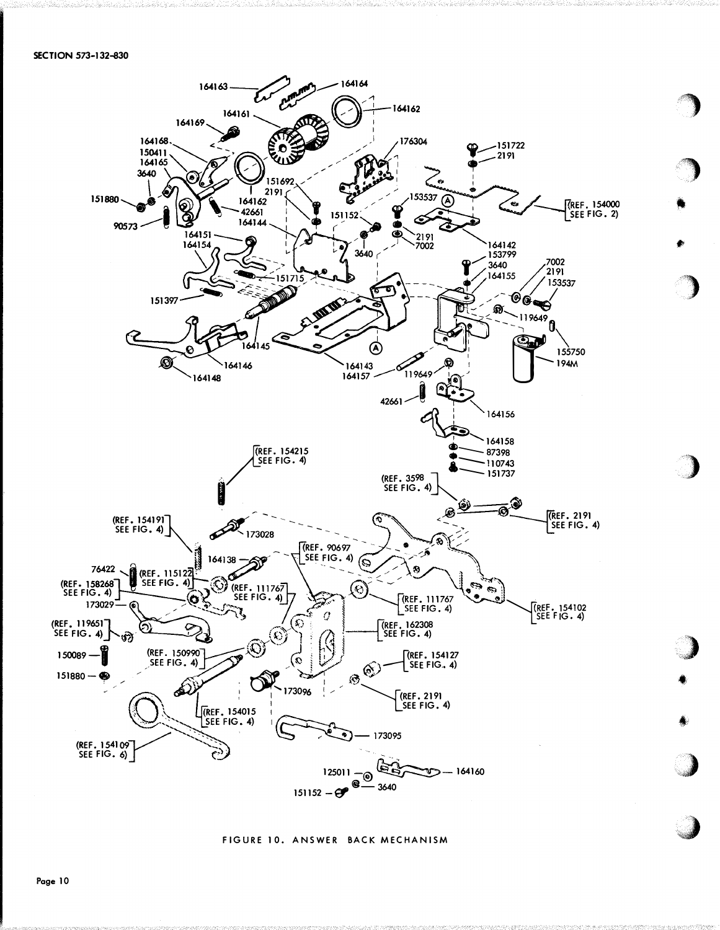

FIGURE 10. ANSWER BACK MECHANISM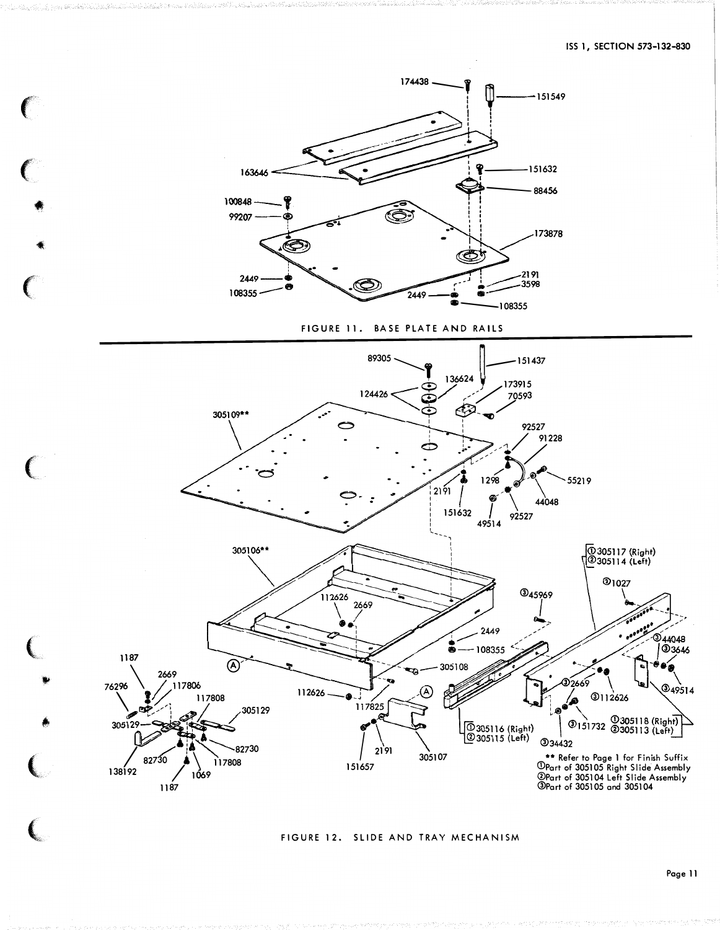

FIGURE 12. SLIDE AND TRAY MECHANISM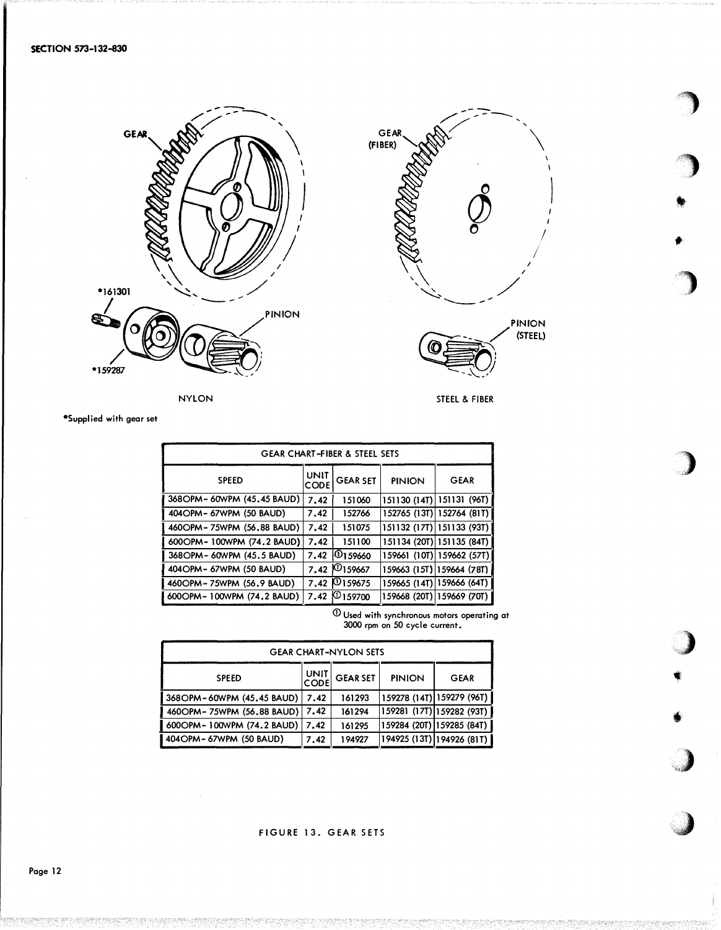



)

**)** 

•

•

)

)

..)

•

t

 $\bigcup$ 

**J** 

\*Supplied with gear set

| <b>GEAR CHART-FIBER &amp; STEEL SETS</b> |                           |                                                                  |                           |  |  |  |
|------------------------------------------|---------------------------|------------------------------------------------------------------|---------------------------|--|--|--|
| UNIT<br>CODE                             | <b>GEAR SET</b>           | <b>PINION</b>                                                    | <b>GEAR</b>               |  |  |  |
| 7.42                                     | 151060                    |                                                                  | 151130 (14T) 151131 (96T) |  |  |  |
| 7.42                                     | 152766                    |                                                                  | 152765 (13T) 152764 (81T) |  |  |  |
| 7.42                                     | 151075                    |                                                                  | 151132 (17T) 151133 (93T) |  |  |  |
| 7.42                                     | 151100                    |                                                                  | 151134 (20T) 151135 (84T) |  |  |  |
|                                          |                           |                                                                  | 159661 (10T) 159662 (57T) |  |  |  |
|                                          |                           |                                                                  | 159663 (15T) 159664 (78T) |  |  |  |
|                                          |                           |                                                                  | 159665 (14T) 159666 (64T) |  |  |  |
|                                          |                           |                                                                  | 159668 (20T) 159669 (70T) |  |  |  |
|                                          | 368OPM-60WPM (45.45 BAUD) | 7.42 0159660<br>7.42 0 159667<br>7.42 0159675<br>7.42 (2) 159700 |                           |  |  |  |

 $\mathrm{\sigma}$  Used with synchronous motors operating at 3000 rpm on 50 cycle current.

| <b>GEAR CHART-NYLON SETS</b>     |              |          |               |                                             |  |  |
|----------------------------------|--------------|----------|---------------|---------------------------------------------|--|--|
| <b>SPEED</b>                     | UNIT<br>CODE | GEAR SET | <b>PINION</b> | <b>GEAR</b>                                 |  |  |
| 368OPM-60WPM (45.45 BAUD)        | 7.42         | 161293   |               | 159278 (14T) 159279 (96T)                   |  |  |
| 460OPM-75WPM (56.88 BAUD)   7.42 |              | 161294   |               | 1 <i>59</i> 281 (17T) 1 <i>59</i> 282 (93T) |  |  |
| 600OPM-100WPM (74.2 BAUD)        | 7.42         | 161295   |               | 159284 (20T) 159285 (84T)                   |  |  |
| 404 OPM - 67 WPM (50 BAUD)       | 7.42         | 194927   |               | 194925 (13T) 194926 (81T)                   |  |  |

FIGURE 13. GEAR SETS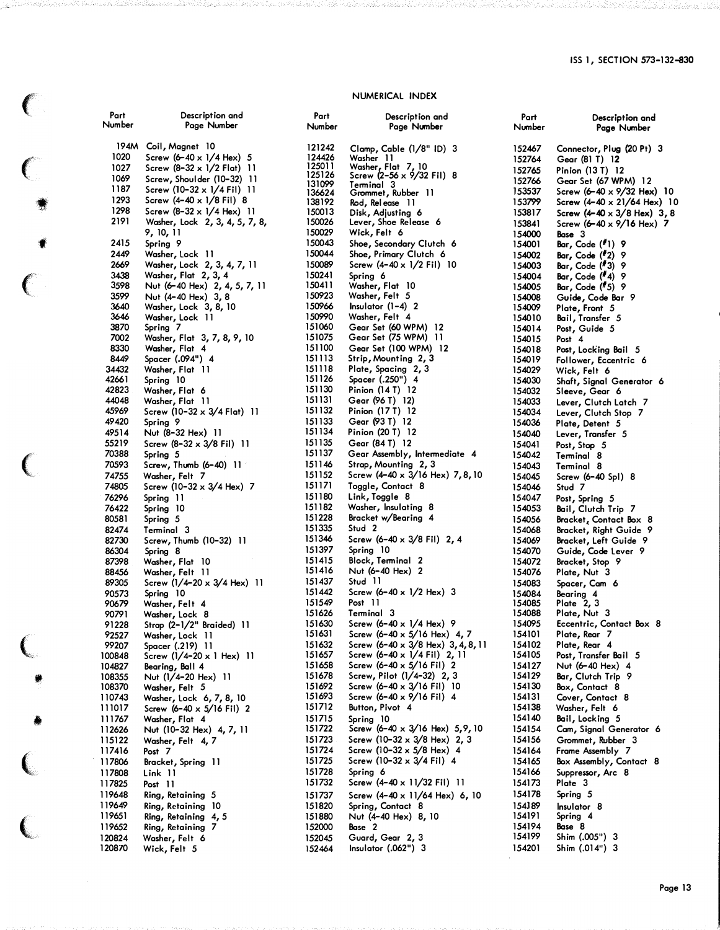#### NUMERICAL INDEX

| Part             | Description and                                |
|------------------|------------------------------------------------|
| Number           | Page Number                                    |
|                  |                                                |
| 194M             | Coil, Magnet 10                                |
| 1020             | Screw $(6 - 40 \times 1/4$ Hex) 5              |
| 1027             | Screw (8–32 x 1/2 Flat) 11                     |
| 1069             | Screw, Shoulder (10-32) 11                     |
| 1187             | Screw (10-32 x 1/4 Fil) 11                     |
| 1293             | Screw $(4 - 40 \times 1/8)$ Fil) 8             |
| 1298             | Screw $(8-32 \times 1/4$ Hex) 11               |
| 2191             | Washer, Lock 2, 3, 4, 5, 7, 8,                 |
|                  | 9, 10, 11                                      |
| 2415             | Spring 9                                       |
| 2449             | Washer, Lock 11                                |
| 2669             | Washer, Lock 2, 3, 4, 7, 11                    |
| 3438             | Washer, Flat 2, 3, 4                           |
| 3598             | Nut (6-40 Hex) 2, 4, 5, 7, 11                  |
| 3599             | Nut (4-40 Hex) 3, 8                            |
| 3640             | Washer, Lock 3, 8, 10                          |
| 3646             | Washer, Lock 11                                |
| 3870             | Spring 7                                       |
| 7002             | Washer, Flat 3, 7, 8, 9, 10                    |
| 8330             | Washer, Flat 4                                 |
| 8449             | Spacer (.094") 4                               |
| 34432            | Washer, Flat 11                                |
| 42661<br>42823   | Spring 10                                      |
| 44048            | Washer, Flat 6<br>Washer, Flat 11              |
| 45969            | Screw (10-32 $\times$ 3/4 Flat) 11             |
| 49420            | Spring 9                                       |
| 49514            | Nut (8-32 Hex) 11                              |
| 55219            | Screw $(8-32 \times 3/8$ Fil) 11               |
| 70388            | Spring 5                                       |
| 70593            | Screw, Thumb (6-40) 11                         |
| 74755            | Washer, Felt 7                                 |
| 74805            | Screw (10-32 x 3/4 Hex) 7                      |
| 76296            | Spring 11                                      |
| 76422            | Spring 10                                      |
| 80581            | Spring 5                                       |
| 82474            | Terminal 3                                     |
| 82730            | Screw, Thumb (10-32) 11                        |
| 86304            | Spring 8                                       |
| 87398            | Washer, Flat 10                                |
| 88456<br>89305   | Washer, Felt 11<br>Screw (1/4-20 x 3/4 Hex) 11 |
| 90573            | Spring 10                                      |
| 90679            | Washer, Felt 4                                 |
| 90791            | Washer, Lock 8                                 |
| 91228            | Strap (2-1/2" Braided) 11                      |
| 92527            |                                                |
| 99207            | Washer, Lock 11<br>Spacer (.219) 11            |
| 100848           | Screw $(1/4-20 \times 1$ Hex) 11               |
| 104827           | Bearing, Ball 4                                |
| 108355           | Nut (1/4–20 Hex)<br>11                         |
| 108370           | Washer, Felt 5                                 |
| 110743           | Washer, Lock 6, 7, 8, 10                       |
| 111017           | Screw (6-40 x 5/16 Fil) 2                      |
| 111767           | Washer, Flat 4                                 |
| 112626<br>115122 | Nut (10-32 Hex) 4, 7, 11                       |
|                  | Washer, Felt 4, 7                              |
| 117416<br>117806 | Post 7<br>П                                    |
| 117808           | Bracket, Spring<br>Link 11                     |
| 117825           | 11<br>Post                                     |
| 119648           | Ring, Retaining<br>5                           |
| 119649           | Ring, Retaining<br>10                          |
| 119651           | Ring, Retaining<br>4, 5                        |
| 119652           | Ring, Retaining<br>7                           |
| 120824           | Washer, Felt 6                                 |
| 120870           | Wick, Felt 5                                   |
|                  |                                                |

 $\big($ 

 $\big($ 

f

 $\epsilon$ 

(

,

•

•

(

 $\big($ 

t'

| Part                       | Description and                                                                         |
|----------------------------|-----------------------------------------------------------------------------------------|
| Number                     | Page Number                                                                             |
| 121242<br>124426<br>125011 | Clamp, Cable (1/8" ID) 3<br>Viasher 11<br>Washer, Flat 7, 10<br>Screw (2–56 x 9/32 Fil) |
| 125126<br>131099<br>136624 | 8<br>Terminal<br>З<br>Terminal 3<br>Grommet, Rubber 11                                  |
| 138192<br>150013           | Rod, Release<br>-11<br>Disk, Adjusting 6                                                |
| 150026                     | Lever, Shoe Release 6                                                                   |
| 150029                     | Wick, Felt 6                                                                            |
| 150043                     | Shoe, Secondary Clutch 6                                                                |
| 150044                     | Shoe, Primary Clutch 6                                                                  |
| 150089                     | Screw (4-40 x 1/2 Fil) 10                                                               |
| 150241                     | Spring 6                                                                                |
| 150411<br>150923           | Washer, Flat 10<br>Washer, Felt<br>5                                                    |
| 150966<br>150990           | Insulator (1–4)<br>2<br>Washer, Felt 4                                                  |
| 151060<br>151075<br>151100 | Gear Set (60 WPM)<br>12<br>Gear Set (75 WPM)<br>11                                      |
| 151113<br>151118           | Gear Set (100 WPM) 12<br>Strip, Mounting 2, 3<br>Plate, Spacing 2, 3                    |
| 151126                     | Spacer (.250") 4                                                                        |
| 151130                     | Pinion (14 T) 12                                                                        |
| 151131                     | Gear (96 T) 12)                                                                         |
| 151132                     | Pinion (17 T) 12                                                                        |
| 151133                     | Gear (93 T) 12                                                                          |
| 151134                     | Pinion (20 T) 12                                                                        |
| 151135                     | Gear (84 T) 12                                                                          |
| 151137                     | Gear Assembly, Intermediate 4                                                           |
| 151146                     | Strap, Mounting 2, 3                                                                    |
| 151152                     | Screw (4-40 x 3/16 Hex) 7,8,10                                                          |
| 151171                     | Toggle, Contact 8                                                                       |
| 151180                     | Link, Toggle 8                                                                          |
| 151182<br>151228           | Washer, Insulating<br>8<br>Bracket w/Bearing 4                                          |
| 151335                     | Stud 2                                                                                  |
| 151346                     | Screw (6-40 x 3/8 Fil) 2, 4                                                             |
| 151397<br>151415<br>151416 | Spring 10<br>Block, Terminal<br>2<br>Nut (6–40 Hex)<br>2                                |
| 151437                     | Stud 11                                                                                 |
| 151442                     | Screw $(6 - 40 \times 1/2$ Hex) 3                                                       |
| 151549                     | Post 11                                                                                 |
| 151626                     | Terminal 3                                                                              |
| 151630<br>151631           | Screw (6-40 x 1/4 Hex) 9                                                                |
| 151632                     | Screw (6-40 x 5/16 Hex) 4, 7<br>Screw (6-40 x 3/8 Hex) 3, 4, 8, 11                      |
| 151657                     | Screw (6-40 x 1/4 Fil) 2, 11                                                            |
| 151658<br>151678           | Screw $(6 - 40 \times 5/16 \text{ Fil})$<br>2<br>Screw, Pilot (1/4-32) 2, 3             |
| 151692                     | Screw (6-40 x 3/16 Fil) 10                                                              |
| 151693                     | Screw (6-40 x 9/16 Fil) 4                                                               |
| 151712                     | Button, Pivot 4                                                                         |
| 151715                     | Spring 10                                                                               |
| 151722                     | Screw (6–40 x 3/16 Hex) 5,9,10                                                          |
| 151723                     | Screw (10-32 x 3/8 Hex) 2, 3                                                            |
| 151724                     | Screw (10-32 x 5/8 Hex) 4                                                               |
| 151725                     | Screw (10-32 $\times$ 3/4 Fil) 4                                                        |
| 151728                     | Spring 6                                                                                |
| 151732<br>151737           | Screw (4-40 x 11/32 Fil)<br>11<br>Screw (4-40 x 11/64 Hex) 6, 10                        |
| 151820                     | Spring, Contact 8                                                                       |
| 151880                     | Nut (4-40 Hex) 8, 10                                                                    |
| 152000                     | Base 2                                                                                  |
| 152045                     | Guard, Gear 2, 3                                                                        |
| 152464                     | Insulator (.062'')<br>3                                                                 |

| Part<br>Number   | Description and<br>Page Number                     |
|------------------|----------------------------------------------------|
| 152467           | Connector, Plug (20 Pt) 3                          |
| 152764           | Gear (81 T) 12                                     |
| 152765           | Pinion (13 T) 12                                   |
| 152766<br>153537 | Gear Set (67 WPM) 12<br>Screw (6-40 x 9/32 Hex) 10 |
| 153799           | Screw (4-40 x 21/64 Hex) 10                        |
| 153817           | Screw $(4 - 40 \times 3/8$ Hex) 3, 8               |
| 153841           | Screw (6-40 x 9/16 Hex) 7                          |
| 154000           | Base 3                                             |
| 154001<br>154002 | Bar, Code (#1) 9<br>Bar, Code (#2) 9               |
| 154003           | Bar, Code (#3) 9                                   |
| 154004           | Bar, Code (#4) 9                                   |
| 154005           | Bar, Code (#5)<br>- 9                              |
| 154008           | Guide, Code Bar 9                                  |
| 154009<br>154010 | Plate, Front 5<br>Bail, Transfer 5                 |
| 154014           | Post, Guide 5                                      |
| 154015           | Post 4                                             |
| 154018           | Post, Locking Bail 5                               |
| 154019<br>154029 | Follower, Eccentric 6                              |
| 154030           | Wick, Felt 6<br>Shaft, Signal Generator 6          |
| 154032           | Sleeve, Gear 6                                     |
| 154033           | Lever, Clutch Latch 7                              |
| 154034           | Lever, Clutch Stop 7                               |
| 154036<br>154040 | Plate, Detent 5<br>Lever, Transfer 5               |
| 154041           | Post, Stop 5                                       |
| 154042           | Terminal<br>-8                                     |
| 154043           | Terminal<br>8                                      |
| 154045           | Screw (6–40 Spl) 8                                 |
| 154046<br>154047 | Stud 7                                             |
| 154053           | Post, Spring 5<br>Bail, Clutch Trip 7              |
| 154056           | Bracket, Contact Box<br>8                          |
| 154068           | Bracket, Right Guide 9                             |
| 154069           | Bracket, Left Guide 9                              |
| 154070<br>154072 | Guide, Code Lever 9<br>Bracket, Stop<br>9          |
| 154076           | Plate, Nut 3                                       |
| 154083           | Spacer, Cam 6                                      |
| 154084           | Bearing 4<br>Plate 2,3                             |
| 154085<br>154088 | Plate, Nut 3                                       |
| 154095           | Eccentric, Contact Box 8                           |
| 154101           | Plate, Rear 7<br>Plate, Rear 4                     |
| 154102           |                                                    |
| 154105<br>154127 | Post, Transfer Bail 5<br>Nut (6-40 Hex)<br>4       |
| 154129           | Bar, Clutch Trip<br>9                              |
| 154130           | Box, Contact 8                                     |
| 154131           | Cover, Contact<br>8                                |
| 154138           | Washer, Felt 6                                     |
| 154140<br>154154 | Bail, Locking 5<br>Cam, Signal Generator 6         |
| 154156           | Grommet, Rubber 3                                  |
| 154164           | Frame Assembly 7                                   |
| 154165           | Box Assembly, Contact<br>8                         |
| 154166           | Suppressor, Arc 8                                  |
| 154173<br>154178 | Plate 3                                            |
| 154J89           | Spring 5<br>Insulator 8                            |
| 154191           | Spring 4                                           |
| 154194           | Base 8                                             |
| 154199           | Shim (.005")<br>3                                  |
| 154201           | Shim (.014")<br>З                                  |